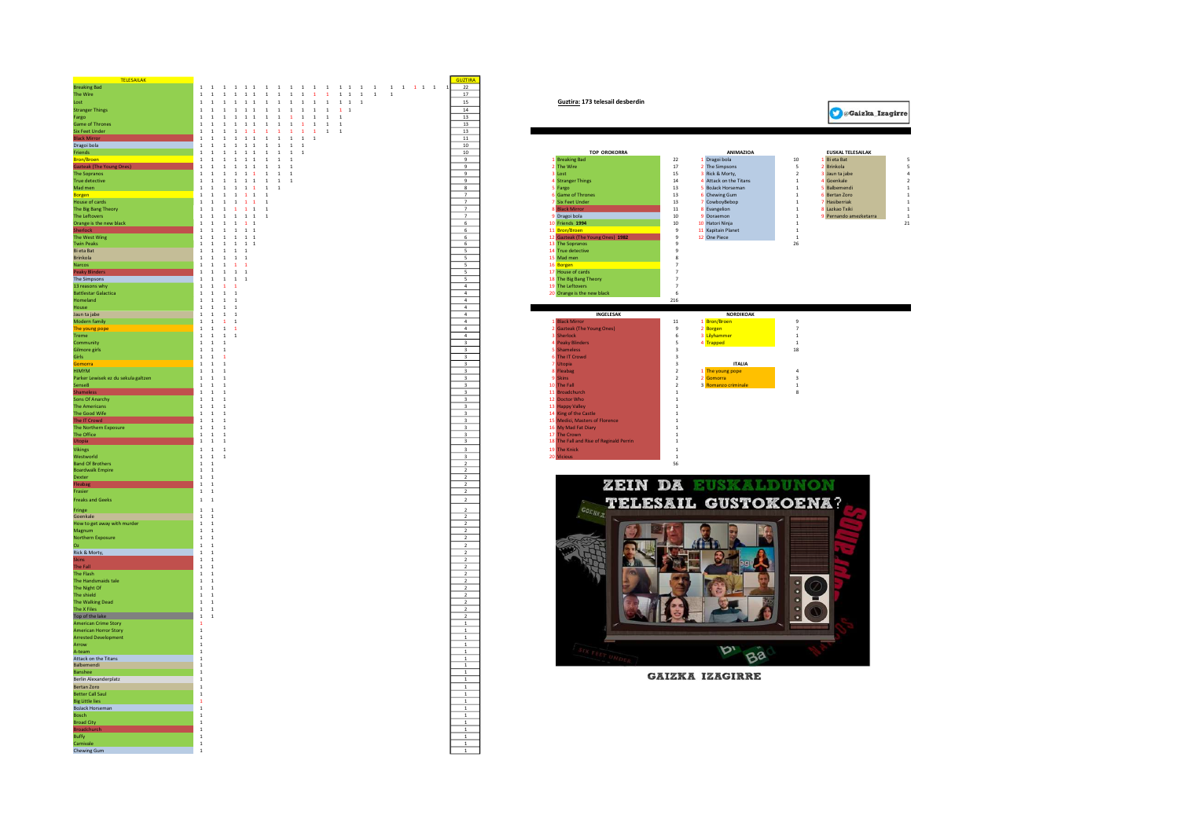| <b>TELESAILAK</b>                                           |                                                                                                                                                                                                                           | <b>GUZTIRA</b>                                       |                                                                                                                |                             |
|-------------------------------------------------------------|---------------------------------------------------------------------------------------------------------------------------------------------------------------------------------------------------------------------------|------------------------------------------------------|----------------------------------------------------------------------------------------------------------------|-----------------------------|
| <b>Breaking Bad</b>                                         | $1 \quad 1$                                                                                                                                                                                                               | 22                                                   |                                                                                                                |                             |
| The Wire                                                    | $\,$ 1 $\,$<br>$\footnotesize\substack{1}$<br>$\begin{array}{cccccccc} 1 & 1 & 1 & 1 & 1 \end{array}$<br>$\begin{array}{cccccccccccccc} 1 & 1 & 1 & 1 & 1 & 1 & 1 & 1 & 1 & 1 \end{array}$<br>$\mathbf{1}$<br>$\,$ 1 $\,$ | 17                                                   |                                                                                                                |                             |
| Lost                                                        | $1$ 1 1 1 1 1<br>1 1 1 1 1 1 1 1 1 1                                                                                                                                                                                      | 15                                                   | Guztira: 173 telesail desberdin                                                                                |                             |
| <b>Stranger Things</b>                                      | $1 \quad 1$<br>$1 \t1 \t1$<br>$1$ 1 1 1 1 1 1 1<br>$\mathbf{1}$                                                                                                                                                           | 14                                                   |                                                                                                                | <b>O</b> @Gaizka            |
| Fargo                                                       | $\,$ 1 $\,$<br>$\begin{array}{cc} 1 & 1 & 1 \end{array}$<br>$\mathbf{1}$ $\mathbf{1}$<br>$\begin{array}{cccccc} 1 & 1 & 1 & 1 \end{array}$<br>$\,$ 1<br>$\,$ 1 $\,$<br>$\overline{1}$                                     | 13                                                   |                                                                                                                |                             |
| <b>Game of Thrones</b>                                      | $\mathbf 1$<br>$\mathbf{1}=\mathbf{1}=\mathbf{1}$<br>$1 \quad 1$<br>$\overline{1}$<br>$\,$ 1<br>$\,$ 1<br>$\mathbf{1}$<br>1 1<br>$\overline{1}$                                                                           | 13                                                   |                                                                                                                |                             |
| <b>Six Feet Under</b>                                       | $1\!-\!1$<br>$\mathbf{1}$<br>$1 - 1$<br>$\mathbf{1}$<br>$\mathbf{1}$ $\mathbf{1}$<br>$\mathbf{1}$<br>$\overline{1}$<br>$\mathbf{1}$<br>$1\,$<br>$\overline{1}$                                                            | 13                                                   |                                                                                                                |                             |
| <b>Slack Mir</b>                                            | $\footnotesize\substack{1}$<br>$\mathbf{1}$ $\mathbf{1}$<br>$\mathbf{1}$<br>$1\quad1$<br>$\overline{1}$<br><sup>1</sup><br>$\mathbf{1}$<br>$\overline{1}$<br><sup>1</sup>                                                 | 11                                                   |                                                                                                                |                             |
| Dragoi bola                                                 | $\begin{array}{cc} 1 & 1 & 1 \end{array}$<br>$\mathbf{1}$ – $\mathbf{1}$ – $\mathbf{1}$<br>$1\quad 1$<br>$\,$ 1 $\,$<br>$\overline{1}$                                                                                    | 10                                                   |                                                                                                                |                             |
| Friends                                                     | $1 \quad 1$<br>$1 \t1 \t1 \t1$<br>1 1<br>1 1                                                                                                                                                                              | 10                                                   | <b>TOP OROKORRA</b><br>ANIMAZIOA                                                                               | <b>EUSKAL TELESAILAK</b>    |
| <b>Bron/Broen</b>                                           | $1 \t1 \t1 \t1$<br><sup>1</sup><br><sup>1</sup><br>1 1<br>$\overline{1}$                                                                                                                                                  | 9                                                    | $22\,$<br>Breaking Bad<br>1 Dragoi bola<br>10                                                                  | 1 Bi eta Bat                |
| <b>Gazteak (The Yo</b>                                      | $\overline{1}$<br>$\overline{1}$<br>$1 \t1 \t1 \t1$<br>$1 \quad 1$<br>$\overline{1}$                                                                                                                                      | 9                                                    | 2 The Wire<br>17<br>2 The Simpsons<br>$\overline{\phantom{a}}$                                                 | <b>Brinkola</b>             |
| <b>The Sopranos</b>                                         | $\mathbf{1}$<br>$\overline{1}$<br>$1 \t1 \t1 \t1$<br><sup>1</sup><br>$\overline{1}$<br>$\overline{1}$                                                                                                                     | 9                                                    | 3 Lost<br>15<br>3 Rick & Morty.<br>$\overline{2}$                                                              | Jaun ta jabe                |
| True detective                                              | $\,$ 1 $\,$<br>$\begin{array}{cccc} 1 & 1 & 1 & 1 \end{array}$<br>$\mathbf 1$<br>$\,$ 1<br>$\,$ 1<br>$\,$ 1                                                                                                               | $\overline{9}$                                       | <b>Stranger Things</b><br>$14\,$<br>4 Attack on the Titans<br>$\,$ 1                                           | Goenkale                    |
| Mad men                                                     | $\,$ 1 $\,$<br>$\,$ 1 $\,$<br>$\mathbf{1}=\mathbf{1}-\mathbf{1}$<br>$\,$ 1<br>$\overline{1}$                                                                                                                              | $\boldsymbol{8}$                                     | Fargo<br>$13\,$<br><b>BoJack Horseman</b><br>$\mathbf{1}$                                                      | Balbemendi                  |
| <b>Borgen</b><br>House of cards                             | $\begin{array}{cccc} 1 & 1 & 1 & 1 \end{array}$<br>$\mathbf{1}$<br>$\overline{1}$<br>$\overline{1}$                                                                                                                       | $\overline{7}$<br>$\overline{7}$                     | $13\,$<br>6 Chewing Gum<br><b>Game of Thrones</b><br>$\overline{1}$                                            | Bertan Zoro                 |
| The Big Bang Theory                                         | $\,$ 1 $\,$<br>$\begin{array}{cccc} 1 & 1 & 1 & 1 \end{array}$<br>$\,$ 1<br>$\overline{1}$<br>1<br>$\begin{array}{cccccccccc} 1 & 1 & 1 & 1 & 1 & 1 \end{array}$<br>$\mathbf{1}$                                          | $\overline{7}$                                       | Six Feet Under<br>$13\,$<br>CowboyBebop<br>$\overline{1}$<br>$11\,$<br><b>Black Mi</b><br>8 Evangelion         | Hasiberriak<br>Lazkao Txiki |
| The Leftovers                                               | $1$ 1 1 1 1 1<br>$\overline{1}$                                                                                                                                                                                           | $\overline{7}$                                       | 1<br>10<br>9 Doraemon<br>$\overline{1}$                                                                        | Pernando amezketa           |
| Orange is the new black                                     | 1 1 1 1<br><sup>1</sup><br><sup>1</sup>                                                                                                                                                                                   | 6                                                    | 9 Dragoi bola<br>$10$<br>10 Friends 1994<br>10 Hatori Ninia<br>$\overline{1}$                                  |                             |
| <b>Sherlock</b>                                             | $1\quad1$<br>1 1 1 1                                                                                                                                                                                                      | 6                                                    | 11 Bron/Broen<br>$\mathbf{Q}$<br>11 Kapitain Planet<br>$\overline{1}$                                          |                             |
| The West Wing                                               | $1 \t1 \t1 \t1 \t1$                                                                                                                                                                                                       | 6                                                    | 12 Gazteak (The Young Ones) 1982<br>$\mathbf{Q}$<br>12 One Piece<br>$\overline{1}$                             |                             |
| <b>Twin Peaks</b>                                           | $\mathbf{1}$ $\mathbf{1}$<br>$\begin{array}{cccccc} & 1 & 1 & 1 & 1 \end{array}$                                                                                                                                          | 6                                                    | 13 The Sopranos<br>26<br>$\overline{9}$                                                                        |                             |
| Bi eta Bat                                                  | $\,$ 1 $\,$<br>$\,$ 1<br>$\,$ 1 $\,$<br>$\overline{1}$<br>$\overline{1}$                                                                                                                                                  | $\overline{\mathbf{5}}$                              | 14 True detective<br>$\overline{S}$                                                                            |                             |
| Brinkola                                                    | $\,$ 1 $\,$<br>$1$ $\,$<br>$\mathbf{1}$ $\mathbf{1}$<br>$\overline{1}$                                                                                                                                                    | $\mathsf S$                                          | 15 Mad men<br>8                                                                                                |                             |
| Narcos                                                      | $\,$ $\,$<br>$\mathbf{1}$<br>$\mathbf{1}$<br>$\mathbf{1}$<br>$\mathbf{1}$                                                                                                                                                 | $\overline{\mathbf{s}}$                              | 16 Borgen<br>$\overline{z}$                                                                                    |                             |
| Peaky Bl                                                    | $\mathbf{1}$ – $\mathbf{1}$ – $\mathbf{1}$<br><sup>1</sup><br><sup>1</sup>                                                                                                                                                | $\overline{\mathbf{s}}$                              | 17 House of cards<br>$\overline{7}$                                                                            |                             |
| The Simpsons                                                | <sup>1</sup><br>$\overline{1}$<br>1 1 1                                                                                                                                                                                   | $\mathsf{s}$                                         | 18 The Big Bang Theory<br>$\overline{7}$                                                                       |                             |
| 13 reasons why                                              | <sup>1</sup><br>$\mathbf{1}$<br><sup>1</sup><br>$\mathbf{1}$                                                                                                                                                              | $\overline{4}$                                       | 19 The Leftovers<br>$\overline{7}$                                                                             |                             |
| <b>Battlestar Galactica</b>                                 | $1 \t1 \t1 \t1$                                                                                                                                                                                                           | $\overline{4}$                                       | 20 Orange is the new black<br>-6                                                                               |                             |
| <b>Homeland</b>                                             | $\overline{1}$<br>$1 \quad 1 \quad 1$                                                                                                                                                                                     | $\overline{4}$                                       | 216                                                                                                            |                             |
| <b>House</b>                                                | $\mathbf{1}$<br>1 1<br>$\overline{1}$                                                                                                                                                                                     | $\overline{4}$                                       |                                                                                                                |                             |
| Jaun ta jabe                                                | $\mathbf{1}$<br>$\,$ 1<br>$\overline{1}$<br>$\overline{1}$                                                                                                                                                                | $\overline{a}$                                       | INGELESAK<br><b>NORDIKOAK</b>                                                                                  |                             |
| Modern family                                               | $\mathbf{1}$<br>$\,$ $\,$<br>$\mathbf{1}$<br>$\overline{1}$                                                                                                                                                               | $\sqrt{4}$                                           | $11\,$<br>1 Bron/Broen<br>$\overline{9}$<br>lack Mirro                                                         |                             |
| The young pope                                              | $\mathbf{1}$<br>$\,$ $\,$<br>$\overline{1}$<br>$\mathbf{1}$                                                                                                                                                               | $\overline{4}$                                       | iazteak (The Young Ones)<br>2 Borgen<br>$\,9$<br>$\overline{7}$                                                |                             |
| Treme                                                       | <sup>1</sup><br>$\,$ 1 $\,$<br>$\overline{1}$<br>$\overline{1}$                                                                                                                                                           | $\overline{4}$                                       | herlock<br>3 Lilyhammer<br>$\,$ 6<br>$\,$ 1                                                                    |                             |
| Community                                                   | $\mathbf{1}$<br>$1 \quad 1$                                                                                                                                                                                               | $\overline{\mathbf{3}}$                              | 4 Trapped<br><b>Peaky Blinders</b><br>5<br>$\overline{1}$                                                      |                             |
| <b>Gilmore girls</b>                                        | $\mathbf{1}$<br>$\overline{1}$<br>$\overline{1}$                                                                                                                                                                          | $\overline{\mathbf{3}}$                              | $18\,$<br><b>Shameless</b><br>$\overline{\mathbf{3}}$                                                          |                             |
| Girls                                                       | $1\quad1$<br>$\overline{1}$                                                                                                                                                                                               | $\overline{\mathbf{3}}$                              | <b>The IT Crowd</b><br>$\overline{\mathbf{3}}$                                                                 |                             |
| Somorra                                                     | $1 \quad 1$<br>$\overline{1}$                                                                                                                                                                                             | $\overline{\mathbf{3}}$                              | <b>ITALIA</b><br><b>Utonia</b><br>$\mathbf{R}$                                                                 |                             |
| <b>HIMYM</b>                                                | $1 \quad 1$<br>$\overline{1}$<br>$\overline{1}$<br>$\overline{1}$<br>$\overline{1}$                                                                                                                                       | $\overline{\mathbf{3}}$                              | 1 The young pope<br>Fleabag<br>$\overline{2}$<br>$\mathbf{A}$<br><b>Skins</b><br>$\overline{2}$<br>$2$ Gomorra |                             |
| Parker Lewisek ez du sekula galtzen                         | $\mathbf{1}$<br>$\overline{1}$<br>$\overline{1}$                                                                                                                                                                          | $\overline{\mathbf{3}}$                              | $\overline{\mathbf{3}}$<br>3 Romanzo criminal<br>10                                                            |                             |
| Sense8<br>hamele:                                           | $\mathbf 1$<br>$\overline{1}$<br>$\overline{1}$                                                                                                                                                                           | $\overline{\mathbf{3}}$                              | The Fall<br>$\sqrt{2}$<br>$\overline{1}$<br>$\overline{1}$<br>$\,$ 1<br>8                                      |                             |
| Sons Of Anarchy                                             | $\,$ 1 $\,$<br>$\,$ 1<br>$\,$ 1                                                                                                                                                                                           | $\ensuremath{\mathsf{3}}$<br>$\overline{\mathbf{3}}$ | Broadchurch<br><b>Doctor Who</b><br>$\mathbf{1}$<br>$\overline{1}$                                             |                             |
| <b>The Americans</b>                                        | $\,1\,$<br>$\,$ 1<br>$\overline{1}$                                                                                                                                                                                       | $\overline{\mathbf{3}}$                              | <b>Happy Valley</b><br>$\overline{1}$                                                                          |                             |
| The Good Wife                                               | $\,$ 1 $\,$<br>$\,$ 1<br>$\overline{1}$                                                                                                                                                                                   | $\overline{\mathbf{3}}$                              | 14 King of the Castle<br>$\,$ 1                                                                                |                             |
| The IT Crowd                                                | $\mathbf{1}$<br>$\overline{1}$<br>$\overline{1}$                                                                                                                                                                          | $\overline{\mathbf{3}}$                              | Medici, Masters of Florence<br>$\,$ 1                                                                          |                             |
| The Northern Exposure                                       | $1\quad1$<br>$\overline{1}$                                                                                                                                                                                               | $\overline{\mathbf{3}}$                              | My Mad Fat Diary<br>16<br><sup>1</sup>                                                                         |                             |
| The Office                                                  | $1\quad1$<br>$\overline{1}$                                                                                                                                                                                               | $\overline{\mathbf{3}}$                              | 17 The Crown<br>$\mathbf{1}$                                                                                   |                             |
| Jtopia                                                      | $1\quad1$<br>$\overline{1}$                                                                                                                                                                                               | $\overline{\mathbf{3}}$                              | 18 The Fall and Rise of Reginald Perrin<br>$\mathbf{1}$                                                        |                             |
| Vikings                                                     | $\mathbf{1}$ $\mathbf{1}$<br>$\,$ 1 $\,$                                                                                                                                                                                  | $\mathbf{3}$                                         | <b>The Knick</b><br>19<br>$\overline{1}$                                                                       |                             |
| Westworld                                                   | ${\bf 1}$ ${\bf 1}$<br>$\overline{1}$                                                                                                                                                                                     | $\overline{\mathbf{3}}$                              | $\,$ 1                                                                                                         |                             |
| <b>Band Of Brothers</b>                                     | $1\quad 1$                                                                                                                                                                                                                | $\overline{2}$                                       | 56                                                                                                             |                             |
| <b>Boardwalk Empire</b>                                     | $1 \quad 1$                                                                                                                                                                                                               | $\overline{2}$                                       |                                                                                                                |                             |
| <b>Dexter</b>                                               | $1\quad1$                                                                                                                                                                                                                 | $\overline{2}$                                       |                                                                                                                |                             |
| Fleabag                                                     | $1\quad1$                                                                                                                                                                                                                 | $\overline{2}$                                       | ZEIN DA EUSKALDUI                                                                                              |                             |
| Frasier                                                     | $1\quad1$                                                                                                                                                                                                                 | $\overline{2}$                                       |                                                                                                                |                             |
| <b>Freaks and Geeks</b>                                     | $\mathbf{1}$ $\mathbf{1}$                                                                                                                                                                                                 | $\mathbf{2}$                                         | <b>TELESAIL GUSTOKOENA?</b>                                                                                    |                             |
|                                                             | $1 \quad 1$                                                                                                                                                                                                               | $\overline{2}$                                       |                                                                                                                |                             |
| Fringe<br>Goenkale                                          | $\mathbf{1}$<br>$\overline{1}$                                                                                                                                                                                            | $\overline{2}$                                       | <b>GOENRA</b>                                                                                                  |                             |
| How to get away with murder                                 | $1\,$<br>$\overline{1}$                                                                                                                                                                                                   | $\overline{2}$                                       |                                                                                                                |                             |
| Magnum                                                      | $\,$ 1 $\,$<br>$\overline{1}$                                                                                                                                                                                             | $\overline{2}$                                       |                                                                                                                |                             |
| Northern Exposure                                           | $\mathbf{1}$ $\mathbf{1}$                                                                                                                                                                                                 | $\overline{2}$                                       |                                                                                                                |                             |
| nz.                                                         | $1 \quad 1$                                                                                                                                                                                                               | $\overline{2}$                                       |                                                                                                                |                             |
| Rick & Morty,                                               | $\mathbf{1}$<br>$\overline{1}$                                                                                                                                                                                            | $\overline{2}$                                       |                                                                                                                |                             |
| <b>Skins</b>                                                | <sup>1</sup><br>$\overline{1}$                                                                                                                                                                                            | $\overline{2}$                                       |                                                                                                                |                             |
| <b>The Fall</b>                                             | $1 \quad 1$                                                                                                                                                                                                               | $\overline{2}$                                       |                                                                                                                |                             |
| The Flash                                                   | <sup>1</sup><br>$\overline{1}$                                                                                                                                                                                            | $\overline{2}$                                       |                                                                                                                |                             |
| The Handsmaids tale                                         | $\,$ 1 $\,$<br>$\,$ 1                                                                                                                                                                                                     | $\overline{2}$                                       |                                                                                                                |                             |
| The Night Of                                                | $\,$ 1 $\,$<br>$\mathbf{1}$                                                                                                                                                                                               | $\overline{2}$                                       |                                                                                                                |                             |
| The shield                                                  | $\,$ 1 $\,$<br>$\overline{1}$                                                                                                                                                                                             | $\overline{2}$                                       |                                                                                                                |                             |
| The Walking Dead                                            | $1\,$<br>- 1                                                                                                                                                                                                              | $\overline{2}$                                       |                                                                                                                |                             |
| The X Files                                                 | 1 1                                                                                                                                                                                                                       | $\overline{2}$                                       |                                                                                                                |                             |
| Top of the lake                                             | 1 1                                                                                                                                                                                                                       | $\overline{2}$                                       |                                                                                                                |                             |
| <b>American Crime Story</b>                                 | -1.                                                                                                                                                                                                                       | $\overline{1}$                                       |                                                                                                                |                             |
| <b>American Horror Story</b><br><b>Arrested Development</b> | $\overline{1}$<br>$\overline{1}$                                                                                                                                                                                          | $\overline{1}$<br><sup>1</sup>                       |                                                                                                                |                             |
|                                                             | $\overline{1}$                                                                                                                                                                                                            |                                                      |                                                                                                                |                             |
| Arrow<br>A-team                                             | <sup>1</sup>                                                                                                                                                                                                              | $\overline{1}$<br>$1\,$                              | D,                                                                                                             |                             |
| Attack on the Titans                                        | $\mathbf{1}$                                                                                                                                                                                                              | $1\,$                                                | Ba                                                                                                             |                             |
| Balbemendi                                                  | $\mathbf{1}$                                                                                                                                                                                                              | $1\,$                                                |                                                                                                                |                             |
| <b>Banshee</b>                                              | <sup>1</sup>                                                                                                                                                                                                              | <sup>1</sup>                                         |                                                                                                                |                             |
| Berlin Alexanderplatz                                       | <sup>1</sup>                                                                                                                                                                                                              | 1                                                    | <b>GAIZKA IZAGIRRE</b>                                                                                         |                             |
| <b>Bertan Zoro</b>                                          | $\overline{1}$                                                                                                                                                                                                            | <sup>1</sup>                                         |                                                                                                                |                             |
| <b>Better Call Sau</b>                                      | $\overline{1}$                                                                                                                                                                                                            | $\mathbf{1}$                                         |                                                                                                                |                             |
| <b>Big Little lies</b>                                      | $\overline{1}$                                                                                                                                                                                                            | $\mathbf{1}$                                         |                                                                                                                |                             |
| <b>BoJack Horseman</b>                                      | $\overline{1}$                                                                                                                                                                                                            | $\,$ 1 $\,$                                          |                                                                                                                |                             |
| <b>Bosch</b>                                                | $\,$ 1                                                                                                                                                                                                                    | $\,$ 1 $\,$                                          |                                                                                                                |                             |
| <b>Broad City</b>                                           | $\,$ 1                                                                                                                                                                                                                    | $\,$ 1 $\,$                                          |                                                                                                                |                             |
|                                                             | $\mathbf{1}$                                                                                                                                                                                                              | $\mathbf{1}$                                         |                                                                                                                |                             |
| Buffy                                                       | $\mathbf{1}$                                                                                                                                                                                                              | $\mathbf{1}$                                         |                                                                                                                |                             |
| Carnivale                                                   | $\overline{1}$                                                                                                                                                                                                            | <sup>1</sup>                                         |                                                                                                                |                             |
| <b>Chewing Gum</b>                                          | <sup>1</sup>                                                                                                                                                                                                              | <sup>1</sup>                                         |                                                                                                                |                             |
|                                                             |                                                                                                                                                                                                                           |                                                      |                                                                                                                |                             |

| Breaking Bad I                      |                                                           |                                                                                                                                                                | $\mathcal{L}\mathcal{L}$ |                                                                                           |                |
|-------------------------------------|-----------------------------------------------------------|----------------------------------------------------------------------------------------------------------------------------------------------------------------|--------------------------|-------------------------------------------------------------------------------------------|----------------|
| The Wire                            |                                                           | $1\  \  1\  \  1\  \  1\  \  1\  \  1\  \  \, 1\  \  \, 1\  \  \, 1\  \  \, 1\  \  \, 1\  \  \, 1\  \  \, 1\  \  \, 1\  \  \, 1\  \  \, 1\  \  \, 1\  \  \, 1$ | 17                       |                                                                                           |                |
| <b>Lost</b>                         |                                                           |                                                                                                                                                                | 15                       | Guztira: 173 telesail desberdin                                                           |                |
| <b>Stranger Things</b>              | 1 1                                                       |                                                                                                                                                                | 14                       |                                                                                           |                |
| Fargo                               | 1 1                                                       |                                                                                                                                                                | 13                       | <b>Saizka Izagirre</b>                                                                    |                |
| Game of Thrones                     |                                                           | 1 1 1 1 1 1 1 1 1 1 1 1 1                                                                                                                                      | 13                       |                                                                                           |                |
| <b>Six Feet Under</b>               |                                                           | $1\  \  1\  \  1\  \  1\  \  1\  \  1\  \  1\  \  1\  \  1\  \  1\  \  1\  \  1\  \  1\  \  1$                                                                 | 13                       |                                                                                           |                |
| <b>Black Mirror</b>                 |                                                           |                                                                                                                                                                | 11                       |                                                                                           |                |
|                                     |                                                           |                                                                                                                                                                |                          |                                                                                           |                |
| Dragoi bola                         | 1 1                                                       | $1\quad 1\quad 1\quad 1\quad 1\quad 1\quad 1\quad 1\quad 1$                                                                                                    | 10                       |                                                                                           |                |
| Friends                             |                                                           | $1\quad 1\quad 1\quad 1\quad 1\quad 1\quad 1\quad 1\quad 1\quad 1$                                                                                             | 10                       | <b>TOP OROKORRA</b><br><b>ANIMAZIOA</b><br><b>FUSKAL TELESAILAK</b>                       |                |
| Bron/Broen                          |                                                           | $1\quad 1\quad 1\quad 1\quad 1\quad 1\quad 1\quad 1\quad 1\quad 1$                                                                                             | 9                        | 1 Breaking Bad<br>1 Dragoi bola<br>22<br>10<br>1 Bi eta Bat                               | 5              |
| <b>Gazteak (The Young Ones)</b>     |                                                           | $1\quad 1\quad 1\quad 1\quad 1\quad 1\quad 1\quad 1\quad 1\quad 1$                                                                                             | 9                        | 2 The Wire<br>17<br>2 The Simpsons<br>$\mathsf S$<br>2 Brinkola                           | 5              |
| The Sopranos                        |                                                           | $1$ 1 1 1 1 1 1 1 1                                                                                                                                            | 9                        | 15<br>3 Rick & Morty,<br>3 Lost<br>3 Jaun ta jabe<br>$\overline{2}$                       | $\mathbf{A}$   |
| True detective                      |                                                           | $1\quad 1\quad 1\quad 1\quad 1\quad 1\quad 1\quad 1\quad 1\quad 1$                                                                                             | 9                        | 4 Stranger Things<br>$14\,$<br>4 Attack on the Titans<br>4 Goenkale<br>$\overline{1}$     | $\overline{2}$ |
| Mad men                             |                                                           | $\begin{array}{cccccccccccccc} 1 & 1 & 1 & 1 & 1 & 1 & 1 & 1 & 1 \end{array}$                                                                                  | 8                        | 5 Fargo<br>13<br>5 Bolack Horseman<br>$\overline{1}$<br><b>S</b> Ralbemendi               | <sup>1</sup>   |
| Borgen                              |                                                           | $1\quad 1\quad 1\quad 1\quad 1\quad 1\quad 1$                                                                                                                  | 7                        | <b>6</b> Game of Thrones<br>13<br>6 Chewing Gum<br><b>6</b> Bertan Zoro<br>$\overline{1}$ | $\overline{1}$ |
| House of cards                      |                                                           | $1$ 1 1 1 1 1 1                                                                                                                                                | 7                        | 7 Six Feet Under<br>13<br>7 CowboyBebop<br>$\overline{1}$<br>7 Hasiberriak                | <sup>1</sup>   |
| The Big Bang Theory                 |                                                           |                                                                                                                                                                | 7                        | 8 Black Mirro<br>$\overline{1}$                                                           | <sup>1</sup>   |
|                                     |                                                           | $1\quad 1\quad 1\quad 1\quad 1\quad 1\quad 1\quad 1$                                                                                                           |                          | $11\,$<br>8 Evangelion<br>8 Lazkao Txiki                                                  |                |
| The Leftovers                       |                                                           | $\begin{array}{cccccccccccccc} 1 & 1 & 1 & 1 & 1 & 1 & 1 & 1 \end{array}$                                                                                      | 7                        | 9 Dragoi bola<br>10<br>9 Doraemon<br>9 Pernando amezketarra<br>$\overline{1}$             | $\overline{1}$ |
| Orange is the new black             | $1$ 1 1 1 1 1                                             |                                                                                                                                                                | $6 -$                    | 10<br>10 Hatori Ninja<br>10 Friends 1994<br>$\overline{1}$                                | 21             |
| <b>Sherlock</b>                     | 1 1 1 1 1 1                                               |                                                                                                                                                                | $6\overline{6}$          | 11 Bron/Broen<br>11 Kapitain Planet<br>$\overline{1}$                                     |                |
| The West Wing                       | 1 1 1 1 1 1                                               |                                                                                                                                                                | 6                        | 12 One Piece<br>12 Gazteak (The Young Ones) 1982<br>$\mathbf{q}$<br>$\overline{1}$        |                |
| Twin Peaks                          | $1 \quad 1 \quad 1 \quad 1 \quad 1 \quad 1$               |                                                                                                                                                                | 6                        | 13 The Sopranos<br>26<br>$\overline{9}$                                                   |                |
| Bi eta Bat                          | 1 1 1 1 1                                                 |                                                                                                                                                                | 5                        | 14 True detective<br>$\mathbf{Q}$                                                         |                |
| Brinkola                            | $1 \t1 \t1 \t1 \t1$                                       |                                                                                                                                                                | $5 -$                    | 15 Mad men<br>-8                                                                          |                |
|                                     |                                                           |                                                                                                                                                                |                          | $\overline{z}$                                                                            |                |
| Narcos                              | $1 \t1 \t1 \t1 \t1$                                       |                                                                                                                                                                | 5                        | 16 Borgen                                                                                 |                |
| Peaky Blin                          | $1 \t1 \t1 \t1 \t1$                                       |                                                                                                                                                                | 5                        | 17 House of cards<br>$\overline{7}$                                                       |                |
| The Simpsons                        | $1 \quad 1 \quad 1 \quad 1 \quad 1$                       |                                                                                                                                                                | 5                        | 18 The Big Bang Theory<br>$\overline{7}$                                                  |                |
| 13 reasons why                      | $1 \t1 \t1 \t1$                                           |                                                                                                                                                                | $\overline{4}$           | 19 The Leftovers<br>$\overline{7}$                                                        |                |
| <b>Battlestar Galactica</b>         | $\begin{array}{cccccccccc} 1 & 1 & 1 & 1 & 1 \end{array}$ |                                                                                                                                                                | 4                        | 20 Orange is the new black<br>6                                                           |                |
| Homeland                            | $1 \quad 1 \quad 1 \quad 1$                               |                                                                                                                                                                | 4                        | 216                                                                                       |                |
| House                               | $1 \t1 \t1 \t1$                                           |                                                                                                                                                                | 4                        |                                                                                           |                |
| Jaun ta jabe                        | $1 \t1 \t1 \t1$                                           |                                                                                                                                                                | 4                        | INGELESAK<br><b>NORDIKOAK</b>                                                             |                |
| Modern family                       | $1 \t1 \t1 \t1$                                           |                                                                                                                                                                | 4                        | 1 Bron/Broen<br><b>Rlack Mirror</b><br>$\mathbf{q}$                                       |                |
|                                     |                                                           |                                                                                                                                                                |                          | 11                                                                                        |                |
| The young pope                      | $\begin{array}{cccc} 1 & 1 & 1 & 1 \end{array}$           |                                                                                                                                                                | 4                        | <b>Gazteak (The Young Ones)</b><br>2 Borgen<br>$\scriptstyle\rm 7$<br>$\overline{9}$      |                |
| Treme                               | $1 \t1 \t1 \t1$                                           |                                                                                                                                                                | 4                        | 3 Lilyhammer<br>3 Sherlock<br>6<br>$\overline{1}$                                         |                |
| Community                           | $\begin{array}{ccc} 1 & 1 & 1 \end{array}$                |                                                                                                                                                                | $\overline{\mathbf{3}}$  | 4 Trapped<br>4 Peaky Blinders<br>$\overline{\phantom{a}}$<br>$\mathbf{1}$                 |                |
| Gilmore girls                       | $1 \t1 \t1$                                               |                                                                                                                                                                | 3                        | 18<br>5 Shameless<br>$\mathbf{R}$                                                         |                |
| Girls                               | $1 \t1 \t1$                                               |                                                                                                                                                                | $\overline{\mathbf{3}}$  | <b>6</b> The IT Crowd<br>$\overline{\mathbf{3}}$                                          |                |
| Gomorra                             | 1 1 1                                                     |                                                                                                                                                                | $3 -$                    | 7 Utopia<br>$\overline{\mathbf{3}}$<br><b>ITALIA</b>                                      |                |
| MYMIH                               | $\begin{array}{ccc} 1 & 1 & 1 \end{array}$                |                                                                                                                                                                | $\overline{\mathbf{3}}$  | 1 The young pope<br>8 Fleabag<br>$\overline{2}$<br>$\it 4$                                |                |
| Parker Lewisek ez du sekula galtzen | $1 \quad 1 \quad 1$                                       |                                                                                                                                                                | $\overline{3}$           | 9 Skins<br>$\overline{2}$<br>2 Gomorra<br>$\overline{\mathbf{3}}$                         |                |
|                                     |                                                           |                                                                                                                                                                |                          |                                                                                           |                |
| Sense8                              | 1 1 1                                                     |                                                                                                                                                                | $\overline{\mathbf{3}}$  | 10 The Fall<br>3 Romanzo criminale<br>$\overline{2}$<br>$\overline{1}$                    |                |
| <b>Shameless</b>                    | $\begin{array}{cccc} 1 & 1 & 1 \end{array}$               |                                                                                                                                                                | $\overline{\mathbf{3}}$  | 11 Broadchurch<br>$\overline{1}$                                                          |                |
| Sons Of Anarchy                     | $1 \t1 \t1$                                               |                                                                                                                                                                | $\mathbf{R}$             | 12 Doctor Who<br>$\overline{1}$                                                           |                |
| The Americans                       | $1\quad 1\quad 1$                                         |                                                                                                                                                                | $\overline{\mathbf{3}}$  | 13 Happy Valley<br>$\overline{1}$                                                         |                |
| The Good Wife                       | 1 1 1                                                     |                                                                                                                                                                | 3                        | 14 King of the Castle<br>$\overline{1}$                                                   |                |
| The IT Crowd                        | $\begin{array}{ccc} 1 & 1 & 1 \end{array}$                |                                                                                                                                                                | 3 <sup>7</sup>           | 15 Medici, Masters of Florence<br><sup>1</sup>                                            |                |
| The Northern Exposure               | $\begin{array}{ccc} 1 & 1 & 1 \end{array}$                |                                                                                                                                                                | 3                        | 16 My Mad Fat Diary<br>$\overline{1}$                                                     |                |
|                                     |                                                           |                                                                                                                                                                |                          |                                                                                           |                |
| The Office                          | 1 1 1                                                     |                                                                                                                                                                | $\overline{\mathbf{3}}$  | 17 The Crown<br><sup>1</sup>                                                              |                |
| <b>Utopia</b>                       | 1 1 1                                                     |                                                                                                                                                                | 3                        | 18 The Fall and Rise of Reginald Perrin<br>$\overline{1}$                                 |                |
| Vikings                             | 1 1 1                                                     |                                                                                                                                                                | $\overline{\mathbf{3}}$  | 19 The Knick<br>$\mathbf{1}$                                                              |                |
| Westworld                           | 1 1 1                                                     |                                                                                                                                                                | 3                        | 20 <sup>1</sup><br>$\overline{1}$                                                         |                |
| <b>Band Of Brothers</b>             | $\begin{array}{ccc} 1 & 1 \end{array}$                    |                                                                                                                                                                | $\overline{2}$           | 56                                                                                        |                |
| <b>Boardwalk Empire</b>             | 1 1                                                       |                                                                                                                                                                | $\overline{2}$           |                                                                                           |                |
| Dexter                              |                                                           |                                                                                                                                                                | $\overline{2}$           |                                                                                           |                |
|                                     | $1 \quad 1$                                               |                                                                                                                                                                |                          | ZEIN DA EUSKALDUNON                                                                       |                |
| Fleabag                             | 1 1                                                       |                                                                                                                                                                | $\overline{2}$           |                                                                                           |                |
| Frasier                             | 1 1                                                       |                                                                                                                                                                | 2                        |                                                                                           |                |
| <b>Freaks and Geeks</b>             | $1 \quad 1$                                               |                                                                                                                                                                | $\overline{2}$           | <b>TELESAIL GUSTOKOENA?</b><br>$\overline{\phantom{a}}$                                   |                |
|                                     | $1 \quad 1$                                               |                                                                                                                                                                | $\overline{2}$           |                                                                                           |                |
| Fringe                              |                                                           |                                                                                                                                                                |                          | GOENKA                                                                                    |                |
| Goenkale                            | $1 \quad 1$                                               |                                                                                                                                                                | $\overline{2}$           |                                                                                           |                |
| How to get away with murder         | 1 1                                                       |                                                                                                                                                                | $\overline{2}$           |                                                                                           |                |
| Magnum                              | $\begin{array}{ccc} 1 & 1 \end{array}$                    |                                                                                                                                                                | $\overline{2}$           |                                                                                           |                |
| Northern Exposure                   | 1 1                                                       |                                                                                                                                                                | $\overline{2}$           |                                                                                           |                |
| Oz.                                 | 1 1                                                       |                                                                                                                                                                | 2                        |                                                                                           |                |
| Rick & Morty,                       |                                                           |                                                                                                                                                                | $\overline{2}$           |                                                                                           |                |
| <b>Skins</b>                        | $1\quad1$                                                 |                                                                                                                                                                | $\overline{2}$           |                                                                                           |                |
|                                     | 1 1                                                       |                                                                                                                                                                |                          |                                                                                           |                |
| The Fall                            | $1 \quad 1$                                               |                                                                                                                                                                | $\overline{2}$           |                                                                                           |                |
| The Flash                           | 1 1                                                       |                                                                                                                                                                | $\overline{2}$           |                                                                                           |                |
| The Handsmaids tale                 | 1 1                                                       |                                                                                                                                                                | $\overline{2}$           |                                                                                           |                |
| The Night Of                        | 1 1                                                       |                                                                                                                                                                | $\overline{2}$           |                                                                                           |                |
| The shield                          | 1 1                                                       |                                                                                                                                                                | $\overline{2}$           |                                                                                           |                |
| The Walking Dead                    | $1 \quad 1$                                               |                                                                                                                                                                | 2                        |                                                                                           |                |
|                                     |                                                           |                                                                                                                                                                |                          |                                                                                           |                |
| The X Files                         | 1 1                                                       |                                                                                                                                                                | $\overline{2}$           |                                                                                           |                |
| Top of the lake                     | 1 1                                                       |                                                                                                                                                                | $\overline{2}$           |                                                                                           |                |
| American Crime Story                | $\mathbf{1}$                                              |                                                                                                                                                                | $1\,$                    |                                                                                           |                |
| <b>American Horror Story</b>        | <sup>1</sup>                                              |                                                                                                                                                                | 1                        |                                                                                           |                |
| <b>Arrested Development</b>         | <sup>1</sup>                                              |                                                                                                                                                                | 1                        |                                                                                           |                |
| Arrow                               | $\overline{1}$                                            |                                                                                                                                                                | 1                        |                                                                                           |                |
| A-team                              | <sup>1</sup>                                              |                                                                                                                                                                | $\mathbf{1}$             | $\mathcal{D}_I$                                                                           |                |
|                                     |                                                           |                                                                                                                                                                |                          | Bã                                                                                        |                |
| Attack on the Titans                | $\overline{1}$                                            |                                                                                                                                                                | $1\,$                    |                                                                                           |                |
| Balbemendi                          | <sup>1</sup>                                              |                                                                                                                                                                | $\mathbf{1}$             |                                                                                           |                |
| Banshee                             | $\overline{1}$                                            |                                                                                                                                                                | $\mathbf{1}$             | <b>GAIZKA IZAGIRRE</b>                                                                    |                |
|                                     |                                                           |                                                                                                                                                                |                          |                                                                                           |                |